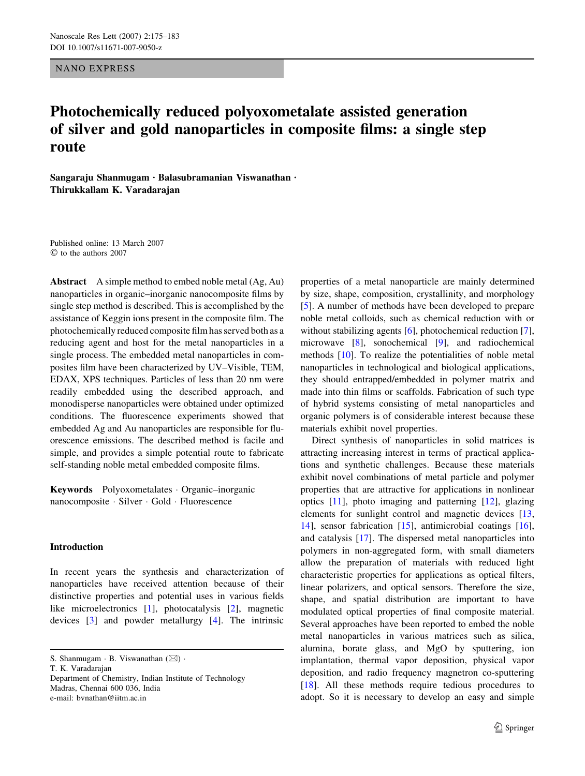NANO EXPRESS

# Photochemically reduced polyoxometalate assisted generation of silver and gold nanoparticles in composite films: a single step route

Sangaraju Shanmugam · Balasubramanian Viswanathan · Thirukkallam K. Varadarajan

Published online: 13 March 2007  $©$  to the authors 2007

Abstract A simple method to embed noble metal (Ag, Au) nanoparticles in organic–inorganic nanocomposite films by single step method is described. This is accomplished by the assistance of Keggin ions present in the composite film. The photochemically reduced composite film has served both as a reducing agent and host for the metal nanoparticles in a single process. The embedded metal nanoparticles in composites film have been characterized by UV–Visible, TEM, EDAX, XPS techniques. Particles of less than 20 nm were readily embedded using the described approach, and monodisperse nanoparticles were obtained under optimized conditions. The fluorescence experiments showed that embedded Ag and Au nanoparticles are responsible for fluorescence emissions. The described method is facile and simple, and provides a simple potential route to fabricate self-standing noble metal embedded composite films.

Keywords Polyoxometalates Organic–inorganic nanocomposite · Silver · Gold · Fluorescence

# Introduction

In recent years the synthesis and characterization of nanoparticles have received attention because of their distinctive properties and potential uses in various fields like microelectronics [[1\]](#page-8-0), photocatalysis [[2\]](#page-8-0), magnetic devices [[3\]](#page-8-0) and powder metallurgy [[4\]](#page-8-0). The intrinsic

T. K. Varadarajan

Department of Chemistry, Indian Institute of Technology Madras, Chennai 600 036, India e-mail: bvnathan@iitm.ac.in

properties of a metal nanoparticle are mainly determined by size, shape, composition, crystallinity, and morphology [\[5](#page-8-0)]. A number of methods have been developed to prepare noble metal colloids, such as chemical reduction with or without stabilizing agents [[6\]](#page-8-0), photochemical reduction [\[7](#page-8-0)], microwave [[8\]](#page-8-0), sonochemical [[9\]](#page-8-0), and radiochemical methods [\[10](#page-8-0)]. To realize the potentialities of noble metal nanoparticles in technological and biological applications, they should entrapped/embedded in polymer matrix and made into thin films or scaffolds. Fabrication of such type of hybrid systems consisting of metal nanoparticles and organic polymers is of considerable interest because these materials exhibit novel properties.

Direct synthesis of nanoparticles in solid matrices is attracting increasing interest in terms of practical applications and synthetic challenges. Because these materials exhibit novel combinations of metal particle and polymer properties that are attractive for applications in nonlinear optics [\[11](#page-8-0)], photo imaging and patterning [[12\]](#page-8-0), glazing elements for sunlight control and magnetic devices [[13,](#page-8-0) [14](#page-8-0)], sensor fabrication [\[15](#page-8-0)], antimicrobial coatings [\[16](#page-8-0)], and catalysis [[17\]](#page-8-0). The dispersed metal nanoparticles into polymers in non-aggregated form, with small diameters allow the preparation of materials with reduced light characteristic properties for applications as optical filters, linear polarizers, and optical sensors. Therefore the size, shape, and spatial distribution are important to have modulated optical properties of final composite material. Several approaches have been reported to embed the noble metal nanoparticles in various matrices such as silica, alumina, borate glass, and MgO by sputtering, ion implantation, thermal vapor deposition, physical vapor deposition, and radio frequency magnetron co-sputtering [\[18](#page-8-0)]. All these methods require tedious procedures to adopt. So it is necessary to develop an easy and simple

S. Shanmugam  $\cdot$  B. Viswanathan  $(\boxtimes)$ .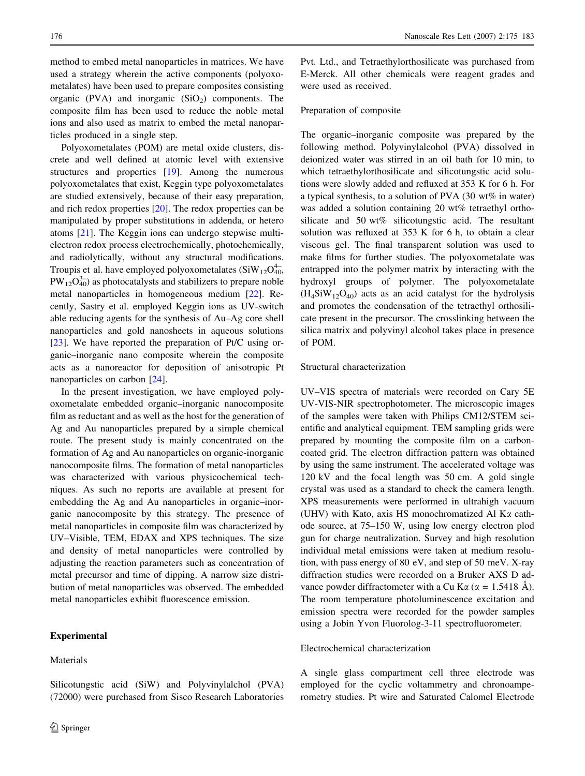method to embed metal nanoparticles in matrices. We have used a strategy wherein the active components (polyoxometalates) have been used to prepare composites consisting organic (PVA) and inorganic  $(SiO<sub>2</sub>)$  components. The composite film has been used to reduce the noble metal ions and also used as matrix to embed the metal nanoparticles produced in a single step.

Polyoxometalates (POM) are metal oxide clusters, discrete and well defined at atomic level with extensive structures and properties [[19\]](#page-8-0). Among the numerous polyoxometalates that exist, Keggin type polyoxometalates are studied extensively, because of their easy preparation, and rich redox properties [\[20\]](#page-8-0). The redox properties can be manipulated by proper substitutions in addenda, or hetero atoms [[21\]](#page-8-0). The Keggin ions can undergo stepwise multielectron redox process electrochemically, photochemically, and radiolytically, without any structural modifications. Troupis et al. have employed polyoxometalates  $(SiW_{12}O_{40}^{4-})$  $PW_{12}O_{40}^{3-}$ ) as photocatalysts and stabilizers to prepare noble metal nanoparticles in homogeneous medium [\[22](#page-8-0)]. Recently, Sastry et al. employed Keggin ions as UV-switch able reducing agents for the synthesis of Au–Ag core shell nanoparticles and gold nanosheets in aqueous solutions [\[23](#page-8-0)]. We have reported the preparation of Pt/C using organic–inorganic nano composite wherein the composite acts as a nanoreactor for deposition of anisotropic Pt nanoparticles on carbon [[24\]](#page-8-0).

In the present investigation, we have employed polyoxometalate embedded organic–inorganic nanocomposite film as reductant and as well as the host for the generation of Ag and Au nanoparticles prepared by a simple chemical route. The present study is mainly concentrated on the formation of Ag and Au nanoparticles on organic-inorganic nanocomposite films. The formation of metal nanoparticles was characterized with various physicochemical techniques. As such no reports are available at present for embedding the Ag and Au nanoparticles in organic–inorganic nanocomposite by this strategy. The presence of metal nanoparticles in composite film was characterized by UV–Visible, TEM, EDAX and XPS techniques. The size and density of metal nanoparticles were controlled by adjusting the reaction parameters such as concentration of metal precursor and time of dipping. A narrow size distribution of metal nanoparticles was observed. The embedded metal nanoparticles exhibit fluorescence emission.

Silicotungstic acid (SiW) and Polyvinylalchol (PVA) (72000) were purchased from Sisco Research Laboratories

## Experimental

## Materials

Pvt. Ltd., and Tetraethylorthosilicate was purchased from E-Merck. All other chemicals were reagent grades and were used as received.

#### Preparation of composite

The organic–inorganic composite was prepared by the following method. Polyvinylalcohol (PVA) dissolved in deionized water was stirred in an oil bath for 10 min, to which tetraethylorthosilicate and silicotungstic acid solutions were slowly added and refluxed at 353 K for 6 h. For a typical synthesis, to a solution of PVA (30 wt% in water) was added a solution containing 20 wt% tetraethyl orthosilicate and 50 wt% silicotungstic acid. The resultant solution was refluxed at 353 K for 6 h, to obtain a clear viscous gel. The final transparent solution was used to make films for further studies. The polyoxometalate was entrapped into the polymer matrix by interacting with the hydroxyl groups of polymer. The polyoxometalate  $(H_4SiW_{12}O_{40})$  acts as an acid catalyst for the hydrolysis and promotes the condensation of the tetraethyl orthosilicate present in the precursor. The crosslinking between the silica matrix and polyvinyl alcohol takes place in presence of POM.

#### Structural characterization

UV–VIS spectra of materials were recorded on Cary 5E UV-VIS-NIR spectrophotometer. The microscopic images of the samples were taken with Philips CM12/STEM scientific and analytical equipment. TEM sampling grids were prepared by mounting the composite film on a carboncoated grid. The electron diffraction pattern was obtained by using the same instrument. The accelerated voltage was 120 kV and the focal length was 50 cm. A gold single crystal was used as a standard to check the camera length. XPS measurements were performed in ultrahigh vacuum (UHV) with Kato, axis HS monochromatized Al K $\alpha$  cathode source, at 75–150 W, using low energy electron plod gun for charge neutralization. Survey and high resolution individual metal emissions were taken at medium resolution, with pass energy of 80 eV, and step of 50 meV. X-ray diffraction studies were recorded on a Bruker AXS D advance powder diffractometer with a Cu K $\alpha$  ( $\alpha$  = 1.5418 Å). The room temperature photoluminescence excitation and emission spectra were recorded for the powder samples using a Jobin Yvon Fluorolog-3-11 spectrofluorometer.

## Electrochemical characterization

A single glass compartment cell three electrode was employed for the cyclic voltammetry and chronoamperometry studies. Pt wire and Saturated Calomel Electrode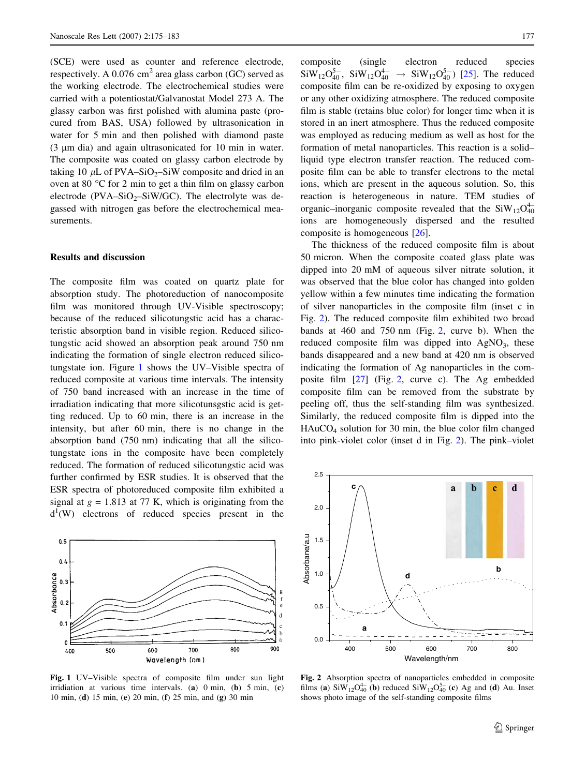(SCE) were used as counter and reference electrode, respectively. A  $0.076$  cm<sup>2</sup> area glass carbon (GC) served as the working electrode. The electrochemical studies were carried with a potentiostat/Galvanostat Model 273 A. The glassy carbon was first polished with alumina paste (procured from BAS, USA) followed by ultrasonication in water for 5 min and then polished with diamond paste (3 *l*m dia) and again ultrasonicated for 10 min in water. The composite was coated on glassy carbon electrode by taking 10  $\mu$ L of PVA–SiO<sub>2</sub>–SiW composite and dried in an oven at 80  $\degree$ C for 2 min to get a thin film on glassy carbon electrode (PVA–SiO<sub>2</sub>–SiW/GC). The electrolyte was degassed with nitrogen gas before the electrochemical measurements.

### Results and discussion

The composite film was coated on quartz plate for absorption study. The photoreduction of nanocomposite film was monitored through UV-Visible spectroscopy; because of the reduced silicotungstic acid has a characteristic absorption band in visible region. Reduced silicotungstic acid showed an absorption peak around 750 nm indicating the formation of single electron reduced silicotungstate ion. Figure 1 shows the UV–Visible spectra of reduced composite at various time intervals. The intensity of 750 band increased with an increase in the time of irradiation indicating that more silicotunsgstic acid is getting reduced. Up to 60 min, there is an increase in the intensity, but after 60 min, there is no change in the absorption band (750 nm) indicating that all the silicotungstate ions in the composite have been completely reduced. The formation of reduced silicotungstic acid was further confirmed by ESR studies. It is observed that the ESR spectra of photoreduced composite film exhibited a signal at  $g = 1.813$  at 77 K, which is originating from the  $d^1(W)$  electrons of reduced species present in the



Fig. 1 UV–Visible spectra of composite film under sun light irridiation at various time intervals. (a) 0 min, (b) 5 min, (c) 10 min, (d) 15 min, (e) 20 min, (f) 25 min, and (g) 30 min

composite (single electron reduced species  $\text{SiW}_{12}\text{O}_{40}^{5-}$ ,  $\text{SiW}_{12}\text{O}_{40}^{4-} \rightarrow \text{SiW}_{12}\text{O}_{40}^{5-}$ ) [[25\]](#page-8-0). The reduced composite film can be re-oxidized by exposing to oxygen or any other oxidizing atmosphere. The reduced composite film is stable (retains blue color) for longer time when it is stored in an inert atmosphere. Thus the reduced composite was employed as reducing medium as well as host for the formation of metal nanoparticles. This reaction is a solid– liquid type electron transfer reaction. The reduced composite film can be able to transfer electrons to the metal ions, which are present in the aqueous solution. So, this reaction is heterogeneous in nature. TEM studies of organic–inorganic composite revealed that the  $\text{SiW}_{12}\text{O}_{40}^{4-}$ ions are homogeneously dispersed and the resulted composite is homogeneous [[26\]](#page-8-0).

The thickness of the reduced composite film is about 50 micron. When the composite coated glass plate was dipped into 20 mM of aqueous silver nitrate solution, it was observed that the blue color has changed into golden yellow within a few minutes time indicating the formation of silver nanoparticles in the composite film (inset c in Fig. 2). The reduced composite film exhibited two broad bands at 460 and 750 nm (Fig. 2, curve b). When the reduced composite film was dipped into  $AgNO<sub>3</sub>$ , these bands disappeared and a new band at 420 nm is observed indicating the formation of Ag nanoparticles in the composite film [\[27\]](#page-8-0) (Fig. 2, curve c). The Ag embedded composite film can be removed from the substrate by peeling off, thus the self-standing film was synthesized. Similarly, the reduced composite film is dipped into the HAuCO4 solution for 30 min, the blue color film changed into pink-violet color (inset d in Fig. 2). The pink–violet



Fig. 2 Absorption spectra of nanoparticles embedded in composite films (a)  $\text{SiW}_{12}\text{O}_{40}^{4-}$  (b) reduced  $\text{SiW}_{12}\text{O}_{40}^{5-}$  (c) Ag and (d) Au. Inset shows photo image of the self-standing composite films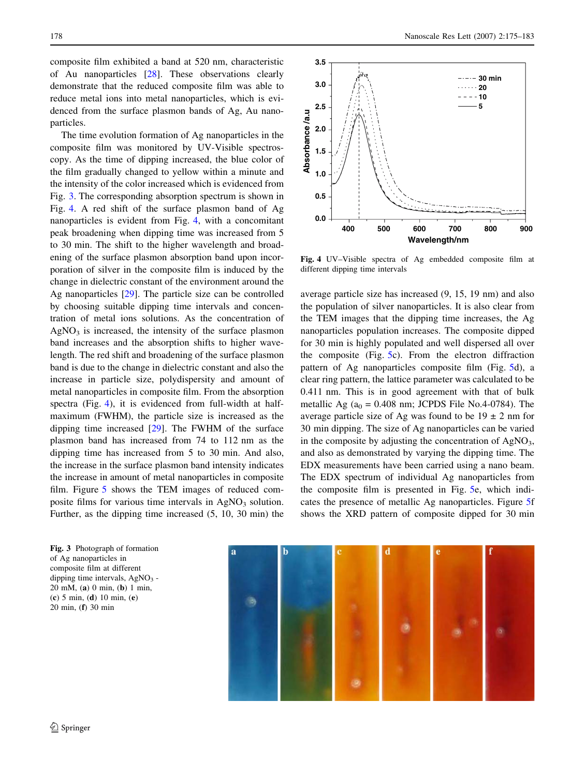composite film exhibited a band at 520 nm, characteristic of Au nanoparticles [[28\]](#page-8-0). These observations clearly demonstrate that the reduced composite film was able to reduce metal ions into metal nanoparticles, which is evidenced from the surface plasmon bands of Ag, Au nanoparticles.

The time evolution formation of Ag nanoparticles in the composite film was monitored by UV-Visible spectroscopy. As the time of dipping increased, the blue color of the film gradually changed to yellow within a minute and the intensity of the color increased which is evidenced from Fig. 3. The corresponding absorption spectrum is shown in Fig. 4. A red shift of the surface plasmon band of Ag nanoparticles is evident from Fig. 4, with a concomitant peak broadening when dipping time was increased from 5 to 30 min. The shift to the higher wavelength and broadening of the surface plasmon absorption band upon incorporation of silver in the composite film is induced by the change in dielectric constant of the environment around the Ag nanoparticles [[29\]](#page-8-0). The particle size can be controlled by choosing suitable dipping time intervals and concentration of metal ions solutions. As the concentration of  $AgNO<sub>3</sub>$  is increased, the intensity of the surface plasmon band increases and the absorption shifts to higher wavelength. The red shift and broadening of the surface plasmon band is due to the change in dielectric constant and also the increase in particle size, polydispersity and amount of metal nanoparticles in composite film. From the absorption spectra (Fig. 4), it is evidenced from full-width at halfmaximum (FWHM), the particle size is increased as the dipping time increased [\[29](#page-8-0)]. The FWHM of the surface plasmon band has increased from 74 to 112 nm as the dipping time has increased from 5 to 30 min. And also, the increase in the surface plasmon band intensity indicates the increase in amount of metal nanoparticles in composite film. Figure [5](#page-4-0) shows the TEM images of reduced composite films for various time intervals in  $AgNO<sub>3</sub>$  solution. Further, as the dipping time increased (5, 10, 30 min) the

178 Nanoscale Res Lett (2007) 2:175–183



Fig. 4 UV–Visible spectra of Ag embedded composite film at different dipping time intervals

average particle size has increased (9, 15, 19 nm) and also the population of silver nanoparticles. It is also clear from the TEM images that the dipping time increases, the Ag nanoparticles population increases. The composite dipped for 30 min is highly populated and well dispersed all over the composite (Fig. [5c](#page-4-0)). From the electron diffraction pattern of Ag nanoparticles composite film (Fig. [5d](#page-4-0)), a clear ring pattern, the lattice parameter was calculated to be 0.411 nm. This is in good agreement with that of bulk metallic Ag ( $a_0 = 0.408$  nm; JCPDS File No.4-0784). The average particle size of Ag was found to be  $19 \pm 2$  nm for 30 min dipping. The size of Ag nanoparticles can be varied in the composite by adjusting the concentration of  $AgNO<sub>3</sub>$ , and also as demonstrated by varying the dipping time. The EDX measurements have been carried using a nano beam. The EDX spectrum of individual Ag nanoparticles from the composite film is presented in Fig. [5e](#page-4-0), which indicates the presence of metallic Ag nanoparticles. Figure [5f](#page-4-0) shows the XRD pattern of composite dipped for 30 min

Fig. 3 Photograph of formation of Ag nanoparticles in composite film at different dipping time intervals,  $AgNO<sub>3</sub>$  -20 mM, (a) 0 min, (b) 1 min, (c) 5 min, (d) 10 min, (e) 20 min, (f) 30 min

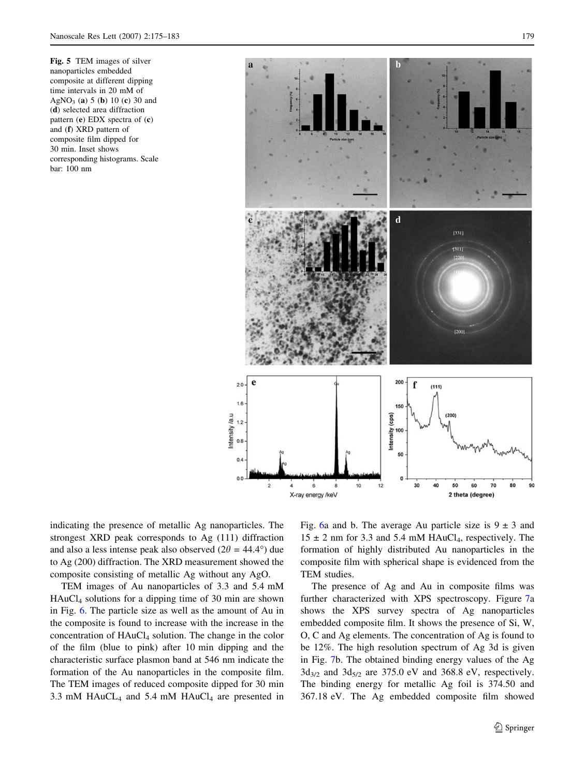<span id="page-4-0"></span>Fig. 5 TEM images of silver nanoparticles embedded composite at different dipping time intervals in 20 mM of AgNO<sub>3</sub> (a) 5 (b) 10 (c) 30 and (d) selected area diffraction pattern (e) EDX spectra of (c) and (f) XRD pattern of composite film dipped for 30 min. Inset shows corresponding histograms. Scale bar: 100 nm



indicating the presence of metallic Ag nanoparticles. The strongest XRD peak corresponds to Ag (111) diffraction and also a less intense peak also observed  $(2\theta = 44.4^{\circ})$  due to Ag (200) diffraction. The XRD measurement showed the composite consisting of metallic Ag without any AgO.

TEM images of Au nanoparticles of 3.3 and 5.4 mM HAuCl4 solutions for a dipping time of 30 min are shown in Fig. [6](#page-5-0). The particle size as well as the amount of Au in the composite is found to increase with the increase in the concentration of  $HAuCl<sub>4</sub>$  solution. The change in the color of the film (blue to pink) after 10 min dipping and the characteristic surface plasmon band at 546 nm indicate the formation of the Au nanoparticles in the composite film. The TEM images of reduced composite dipped for 30 min 3.3 mM HAuCL<sub>4</sub> and 5.4 mM HAuCl<sub>4</sub> are presented in Fig. [6](#page-5-0)a and b. The average Au particle size is  $9 \pm 3$  and  $15 \pm 2$  nm for 3.3 and 5.4 mM HAuCl<sub>4</sub>, respectively. The formation of highly distributed Au nanoparticles in the composite film with spherical shape is evidenced from the TEM studies.

The presence of Ag and Au in composite films was further characterized with XPS spectroscopy. Figure [7a](#page-5-0) shows the XPS survey spectra of Ag nanoparticles embedded composite film. It shows the presence of Si, W, O, C and Ag elements. The concentration of Ag is found to be 12%. The high resolution spectrum of Ag 3d is given in Fig. [7b](#page-5-0). The obtained binding energy values of the Ag  $3d_{3/2}$  and  $3d_{5/2}$  are 375.0 eV and 368.8 eV, respectively. The binding energy for metallic Ag foil is 374.50 and 367.18 eV. The Ag embedded composite film showed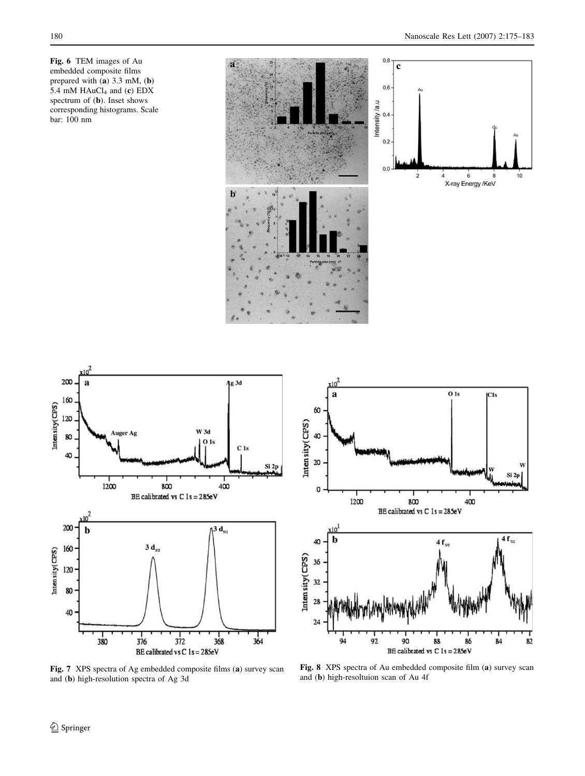<span id="page-5-0"></span>Fig. 6 TEM images of Au embedded composite films prepared with (a) 3.3 mM, (b) 5.4 mM  $HAuCl<sub>4</sub>$  and (c) EDX spectrum of (b). Inset shows corresponding histograms. Scale bar: 100 nm





 $x10^2$  $0<sub>1s</sub>$  $\bf{a}$  $|C1s$ 60 Intensity(CPS) 40 20 Si 2p  $\mathsf{o}$ 1200 800 400 BE calibrated vs  $C$  1s = 285eV :10 $^1$  $4f_{\eta_2}$ b 40  $4f_{52}$ Intensity(CPS) 36 32 28  $24$ 94 92 90 88 86 84 82 BE calibrated vs  $C 1s = 285eV$ 

Fig. 7 XPS spectra of Ag embedded composite films (a) survey scan and (b) high-resolution spectra of Ag 3d

Fig. 8 XPS spectra of Au embedded composite film (a) survey scan and (b) high-resoltuion scan of Au 4f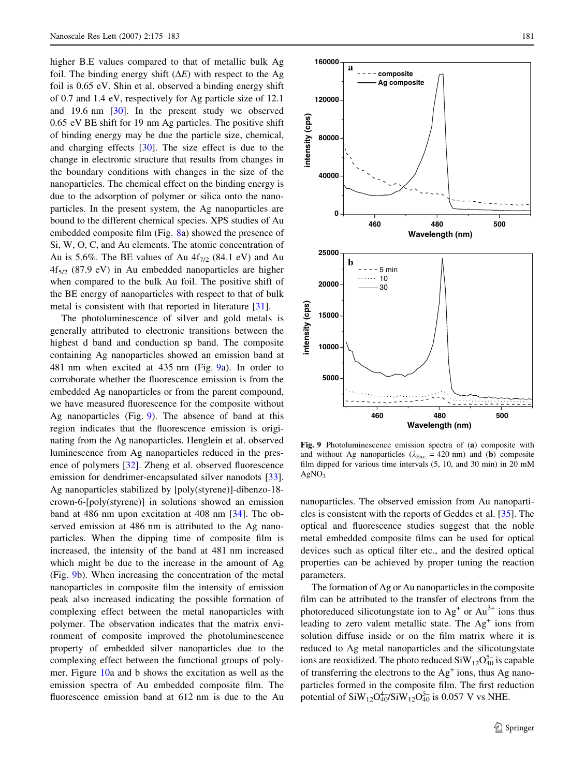higher B.E values compared to that of metallic bulk Ag foil. The binding energy shift  $(\Delta E)$  with respect to the Ag foil is 0.65 eV. Shin et al. observed a binding energy shift of 0.7 and 1.4 eV, respectively for Ag particle size of 12.1 and 19.6 nm [\[30](#page-8-0)]. In the present study we observed 0.65 eV BE shift for 19 nm Ag particles. The positive shift of binding energy may be due the particle size, chemical, and charging effects [[30\]](#page-8-0). The size effect is due to the change in electronic structure that results from changes in the boundary conditions with changes in the size of the nanoparticles. The chemical effect on the binding energy is due to the adsorption of polymer or silica onto the nanoparticles. In the present system, the Ag nanoparticles are bound to the different chemical species. XPS studies of Au embedded composite film (Fig. [8a](#page-5-0)) showed the presence of Si, W, O, C, and Au elements. The atomic concentration of Au is 5.6%. The BE values of Au  $4f_{7/2}$  (84.1 eV) and Au  $4f_{5/2}$  (87.9 eV) in Au embedded nanoparticles are higher when compared to the bulk Au foil. The positive shift of the BE energy of nanoparticles with respect to that of bulk metal is consistent with that reported in literature [\[31](#page-8-0)].

The photoluminescence of silver and gold metals is generally attributed to electronic transitions between the highest d band and conduction sp band. The composite containing Ag nanoparticles showed an emission band at 481 nm when excited at 435 nm (Fig. 9a). In order to corroborate whether the fluorescence emission is from the embedded Ag nanoparticles or from the parent compound, we have measured fluorescence for the composite without Ag nanoparticles (Fig. 9). The absence of band at this region indicates that the fluorescence emission is originating from the Ag nanoparticles. Henglein et al. observed luminescence from Ag nanoparticles reduced in the presence of polymers [\[32](#page-8-0)]. Zheng et al. observed fluorescence emission for dendrimer-encapsulated silver nanodots [\[33](#page-8-0)]. Ag nanoparticles stabilized by [poly(styrene)]-dibenzo-18 crown-6-[poly(styrene)] in solutions showed an emission band at 486 nm upon excitation at 408 nm [[34\]](#page-8-0). The observed emission at 486 nm is attributed to the Ag nanoparticles. When the dipping time of composite film is increased, the intensity of the band at 481 nm increased which might be due to the increase in the amount of Ag (Fig. 9b). When increasing the concentration of the metal nanoparticles in composite film the intensity of emission peak also increased indicating the possible formation of complexing effect between the metal nanoparticles with polymer. The observation indicates that the matrix environment of composite improved the photoluminescence property of embedded silver nanoparticles due to the complexing effect between the functional groups of polymer. Figure [10a](#page-7-0) and b shows the excitation as well as the emission spectra of Au embedded composite film. The fluorescence emission band at 612 nm is due to the Au



Fig. 9 Photoluminescence emission spectra of (a) composite with and without Ag nanoparticles ( $\lambda_{\text{Exc.}}$  = 420 nm) and (b) composite film dipped for various time intervals (5, 10, and 30 min) in 20 mM  $AgNO<sub>3</sub>$ 

nanoparticles. The observed emission from Au nanoparticles is consistent with the reports of Geddes et al. [\[35](#page-8-0)]. The optical and fluorescence studies suggest that the noble metal embedded composite films can be used for optical devices such as optical filter etc., and the desired optical properties can be achieved by proper tuning the reaction parameters.

The formation of Ag or Au nanoparticles in the composite film can be attributed to the transfer of electrons from the photoreduced silicotungstate ion to  $Ag<sup>+</sup>$  or  $Au<sup>3+</sup>$  ions thus leading to zero valent metallic state. The  $Ag<sup>+</sup>$  ions from solution diffuse inside or on the film matrix where it is reduced to Ag metal nanoparticles and the silicotungstate ions are reoxidized. The photo reduced  $\text{SiW}_{12}\text{O}_{40}^{5-}$  is capable of transferring the electrons to the  $Ag<sup>+</sup> ions$ , thus Ag nanoparticles formed in the composite film. The first reduction potential of  $\text{SiW}_{12}\text{O}_{40}^{4-}/\text{SiW}_{12}\text{O}_{40}^{5-}$  is 0.057 V vs NHE.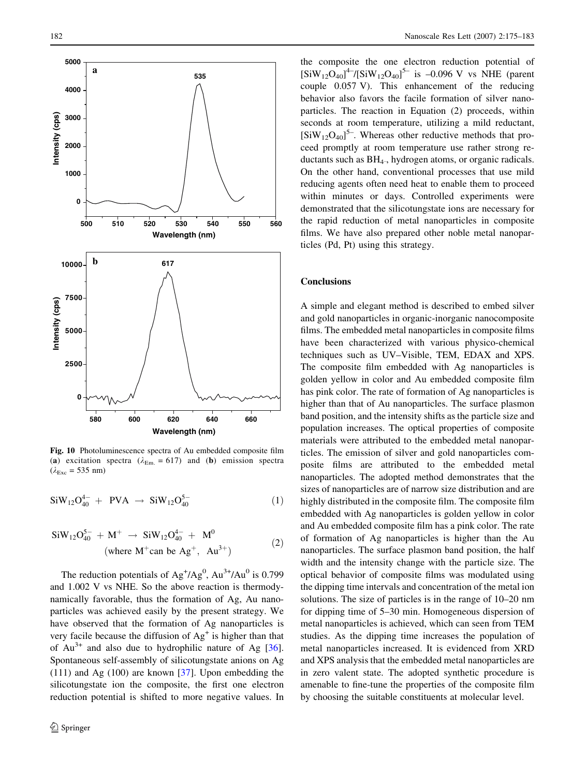<span id="page-7-0"></span>

Fig. 10 Photoluminescence spectra of Au embedded composite film (a) excitation spectra ( $\lambda_{Em.} = 617$ ) and (b) emission spectra  $(\lambda_{\text{Exc}} = 535 \text{ nm})$ 

$$
SiW_{12}O_{40}^{4-} + PVA \rightarrow SiW_{12}O_{40}^{5-} \tag{1}
$$

$$
SiW_{12}O_{40}^{5-} + M^{+} \rightarrow SiW_{12}O_{40}^{4-} + M^{0}
$$
  
(where M<sup>+</sup> can be Ag<sup>+</sup>, Au<sup>3+</sup>) (2)

The reduction potentials of  $Ag^{+}/Ag^{0}$ ,  $Au^{3+}/Au^{0}$  is 0.799 and 1.002 V vs NHE. So the above reaction is thermodynamically favorable, thus the formation of Ag, Au nanoparticles was achieved easily by the present strategy. We have observed that the formation of Ag nanoparticles is very facile because the diffusion of  $Ag<sup>+</sup>$  is higher than that of  $Au^{3+}$  and also due to hydrophilic nature of Ag [\[36](#page-8-0)]. Spontaneous self-assembly of silicotungstate anions on Ag (111) and Ag (100) are known [\[37](#page-8-0)]. Upon embedding the silicotungstate ion the composite, the first one electron reduction potential is shifted to more negative values. In the composite the one electron reduction potential of  $[SiW_{12}O_{40}]^{4-}$ / $[SiW_{12}O_{40}]^{5-}$  is -0.096 V vs NHE (parent couple 0.057 V). This enhancement of the reducing behavior also favors the facile formation of silver nanoparticles. The reaction in Equation (2) proceeds, within seconds at room temperature, utilizing a mild reductant,  $[SiW_{12}O_{40}]^{5}$ . Whereas other reductive methods that proceed promptly at room temperature use rather strong reductants such as  $BH<sub>4</sub>$ , hydrogen atoms, or organic radicals. On the other hand, conventional processes that use mild reducing agents often need heat to enable them to proceed within minutes or days. Controlled experiments were demonstrated that the silicotungstate ions are necessary for the rapid reduction of metal nanoparticles in composite films. We have also prepared other noble metal nanoparticles (Pd, Pt) using this strategy.

#### **Conclusions**

A simple and elegant method is described to embed silver and gold nanoparticles in organic-inorganic nanocomposite films. The embedded metal nanoparticles in composite films have been characterized with various physico-chemical techniques such as UV–Visible, TEM, EDAX and XPS. The composite film embedded with Ag nanoparticles is golden yellow in color and Au embedded composite film has pink color. The rate of formation of Ag nanoparticles is higher than that of Au nanoparticles. The surface plasmon band position, and the intensity shifts as the particle size and population increases. The optical properties of composite materials were attributed to the embedded metal nanoparticles. The emission of silver and gold nanoparticles composite films are attributed to the embedded metal nanoparticles. The adopted method demonstrates that the sizes of nanoparticles are of narrow size distribution and are highly distributed in the composite film. The composite film embedded with Ag nanoparticles is golden yellow in color and Au embedded composite film has a pink color. The rate of formation of Ag nanoparticles is higher than the Au nanoparticles. The surface plasmon band position, the half width and the intensity change with the particle size. The optical behavior of composite films was modulated using the dipping time intervals and concentration of the metal ion solutions. The size of particles is in the range of 10–20 nm for dipping time of 5–30 min. Homogeneous dispersion of metal nanoparticles is achieved, which can seen from TEM studies. As the dipping time increases the population of metal nanoparticles increased. It is evidenced from XRD and XPS analysis that the embedded metal nanoparticles are in zero valent state. The adopted synthetic procedure is amenable to fine-tune the properties of the composite film by choosing the suitable constituents at molecular level.